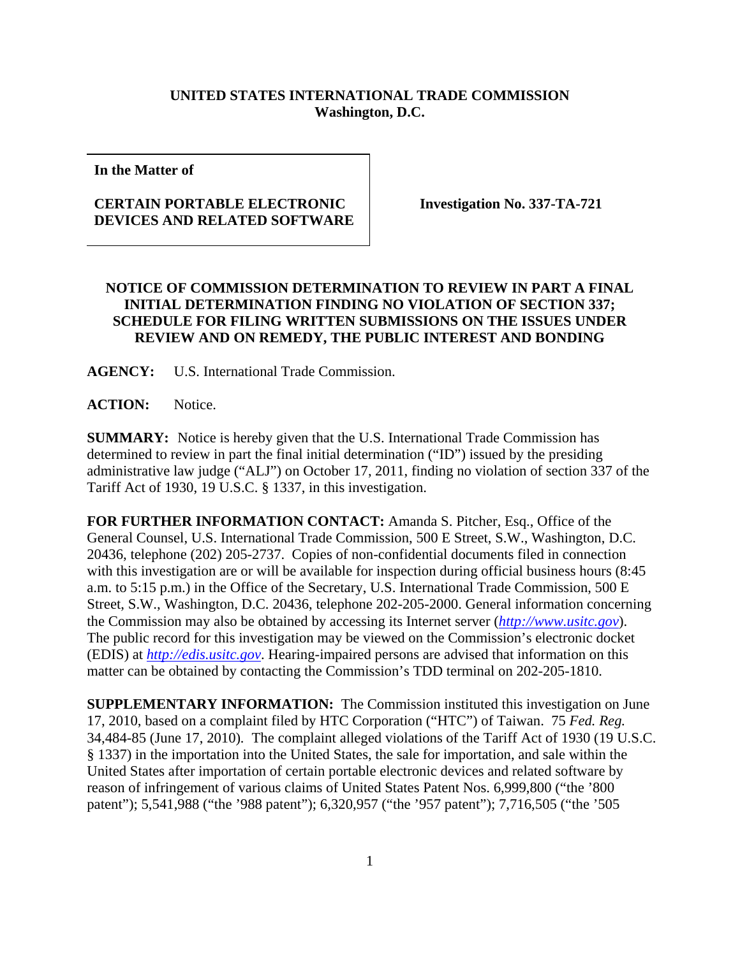## **UNITED STATES INTERNATIONAL TRADE COMMISSION Washington, D.C.**

**In the Matter of** 

## **CERTAIN PORTABLE ELECTRONIC DEVICES AND RELATED SOFTWARE**

**Investigation No. 337-TA-721** 

## **NOTICE OF COMMISSION DETERMINATION TO REVIEW IN PART A FINAL INITIAL DETERMINATION FINDING NO VIOLATION OF SECTION 337; SCHEDULE FOR FILING WRITTEN SUBMISSIONS ON THE ISSUES UNDER REVIEW AND ON REMEDY, THE PUBLIC INTEREST AND BONDING**

**AGENCY:** U.S. International Trade Commission.

**ACTION:** Notice.

**SUMMARY:** Notice is hereby given that the U.S. International Trade Commission has determined to review in part the final initial determination ("ID") issued by the presiding administrative law judge ("ALJ") on October 17, 2011, finding no violation of section 337 of the Tariff Act of 1930, 19 U.S.C. § 1337, in this investigation.

**FOR FURTHER INFORMATION CONTACT:** Amanda S. Pitcher, Esq., Office of the General Counsel, U.S. International Trade Commission, 500 E Street, S.W., Washington, D.C. 20436, telephone (202) 205-2737. Copies of non-confidential documents filed in connection with this investigation are or will be available for inspection during official business hours (8:45 a.m. to 5:15 p.m.) in the Office of the Secretary, U.S. International Trade Commission, 500 E Street, S.W., Washington, D.C. 20436, telephone 202-205-2000. General information concerning the Commission may also be obtained by accessing its Internet server (*http://www.usitc.gov*). The public record for this investigation may be viewed on the Commission's electronic docket (EDIS) at *http://edis.usitc.gov*. Hearing-impaired persons are advised that information on this matter can be obtained by contacting the Commission's TDD terminal on 202-205-1810.

**SUPPLEMENTARY INFORMATION:** The Commission instituted this investigation on June 17, 2010, based on a complaint filed by HTC Corporation ("HTC") of Taiwan. 75 *Fed. Reg.* 34,484-85 (June 17, 2010)*.* The complaint alleged violations of the Tariff Act of 1930 (19 U.S.C. § 1337) in the importation into the United States, the sale for importation, and sale within the United States after importation of certain portable electronic devices and related software by reason of infringement of various claims of United States Patent Nos. 6,999,800 ("the '800 patent"); 5,541,988 ("the '988 patent"); 6,320,957 ("the '957 patent"); 7,716,505 ("the '505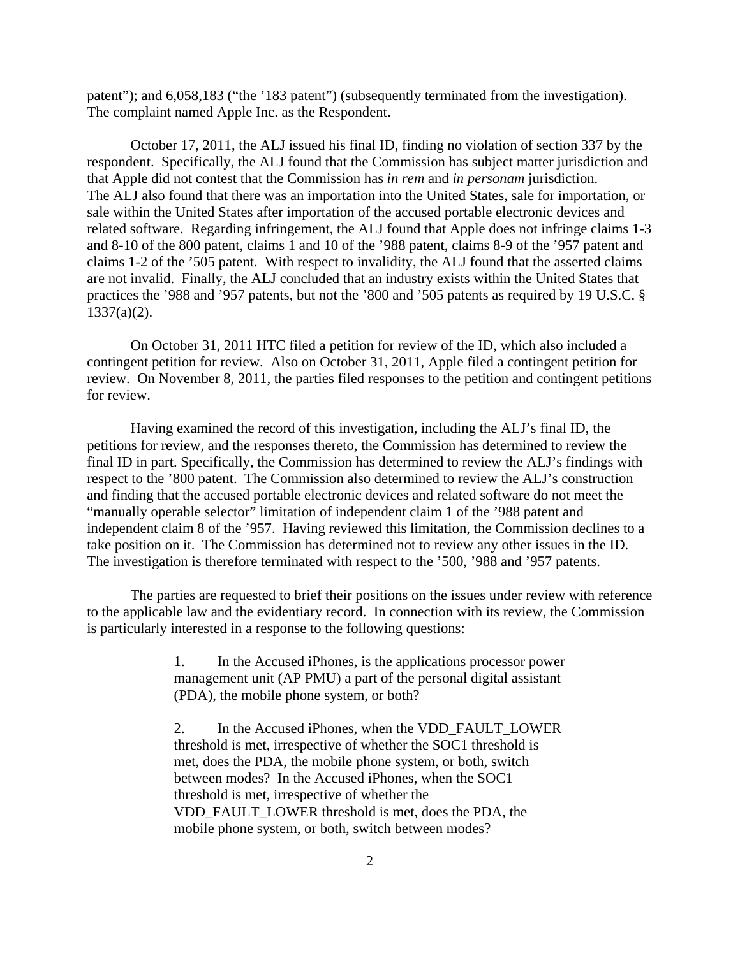patent"); and 6,058,183 ("the '183 patent") (subsequently terminated from the investigation). The complaint named Apple Inc. as the Respondent.

October 17, 2011, the ALJ issued his final ID, finding no violation of section 337 by the respondent. Specifically, the ALJ found that the Commission has subject matter jurisdiction and that Apple did not contest that the Commission has *in rem* and *in personam* jurisdiction. The ALJ also found that there was an importation into the United States, sale for importation, or sale within the United States after importation of the accused portable electronic devices and related software. Regarding infringement, the ALJ found that Apple does not infringe claims 1-3 and 8-10 of the 800 patent, claims 1 and 10 of the '988 patent, claims 8-9 of the '957 patent and claims 1-2 of the '505 patent. With respect to invalidity, the ALJ found that the asserted claims are not invalid. Finally, the ALJ concluded that an industry exists within the United States that practices the '988 and '957 patents, but not the '800 and '505 patents as required by 19 U.S.C. § 1337(a)(2).

On October 31, 2011 HTC filed a petition for review of the ID, which also included a contingent petition for review. Also on October 31, 2011, Apple filed a contingent petition for review. On November 8, 2011, the parties filed responses to the petition and contingent petitions for review.

Having examined the record of this investigation, including the ALJ's final ID, the petitions for review, and the responses thereto, the Commission has determined to review the final ID in part. Specifically, the Commission has determined to review the ALJ's findings with respect to the '800 patent. The Commission also determined to review the ALJ's construction and finding that the accused portable electronic devices and related software do not meet the "manually operable selector" limitation of independent claim 1 of the '988 patent and independent claim 8 of the '957. Having reviewed this limitation, the Commission declines to a take position on it. The Commission has determined not to review any other issues in the ID. The investigation is therefore terminated with respect to the '500, '988 and '957 patents.

The parties are requested to brief their positions on the issues under review with reference to the applicable law and the evidentiary record. In connection with its review, the Commission is particularly interested in a response to the following questions:

> 1. In the Accused iPhones, is the applications processor power management unit (AP PMU) a part of the personal digital assistant (PDA), the mobile phone system, or both?

> 2. In the Accused iPhones, when the VDD\_FAULT\_LOWER threshold is met, irrespective of whether the SOC1 threshold is met, does the PDA, the mobile phone system, or both, switch between modes? In the Accused iPhones, when the SOC1 threshold is met, irrespective of whether the VDD\_FAULT\_LOWER threshold is met, does the PDA, the mobile phone system, or both, switch between modes?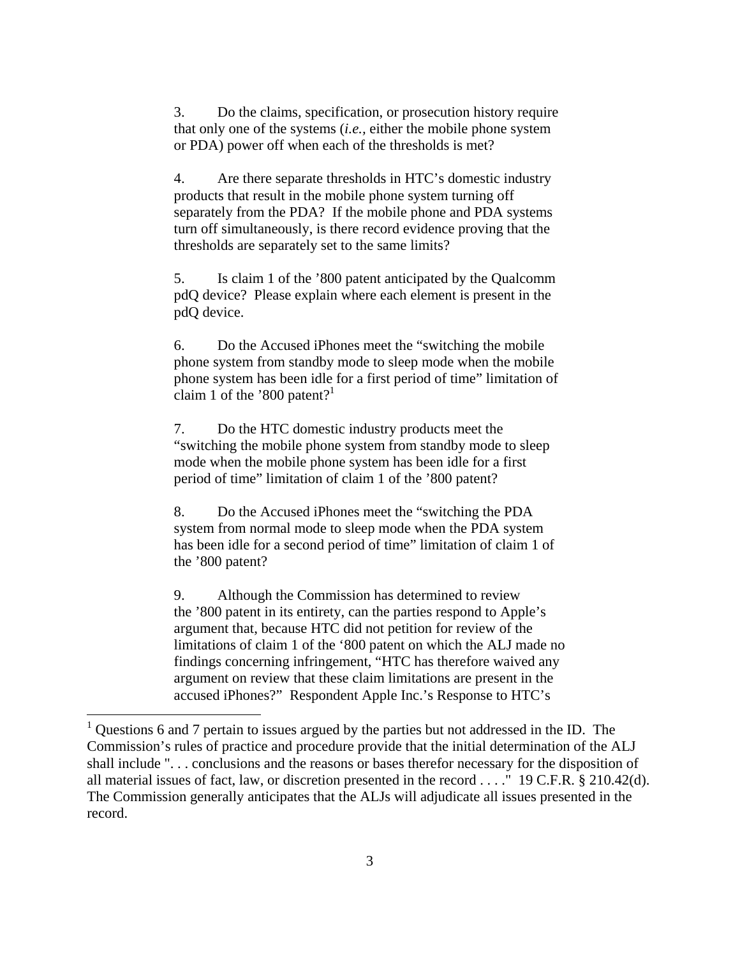3. Do the claims, specification, or prosecution history require that only one of the systems (*i.e.,* either the mobile phone system or PDA) power off when each of the thresholds is met?

4. Are there separate thresholds in HTC's domestic industry products that result in the mobile phone system turning off separately from the PDA? If the mobile phone and PDA systems turn off simultaneously, is there record evidence proving that the thresholds are separately set to the same limits?

5. Is claim 1 of the '800 patent anticipated by the Qualcomm pdQ device? Please explain where each element is present in the pdQ device.

6. Do the Accused iPhones meet the "switching the mobile phone system from standby mode to sleep mode when the mobile phone system has been idle for a first period of time" limitation of claim 1 of the '800 patent?<sup>1</sup>

7. Do the HTC domestic industry products meet the "switching the mobile phone system from standby mode to sleep mode when the mobile phone system has been idle for a first period of time" limitation of claim 1 of the '800 patent?

8. Do the Accused iPhones meet the "switching the PDA system from normal mode to sleep mode when the PDA system has been idle for a second period of time" limitation of claim 1 of the '800 patent?

9. Although the Commission has determined to review the '800 patent in its entirety, can the parties respond to Apple's argument that, because HTC did not petition for review of the limitations of claim 1 of the '800 patent on which the ALJ made no findings concerning infringement, "HTC has therefore waived any argument on review that these claim limitations are present in the accused iPhones?" Respondent Apple Inc.'s Response to HTC's

 $\overline{a}$ 

<sup>1</sup> Questions 6 and 7 pertain to issues argued by the parties but not addressed in the ID. The Commission's rules of practice and procedure provide that the initial determination of the ALJ shall include ". . . conclusions and the reasons or bases therefor necessary for the disposition of all material issues of fact, law, or discretion presented in the record . . . ." 19 C.F.R. § 210.42(d). The Commission generally anticipates that the ALJs will adjudicate all issues presented in the record.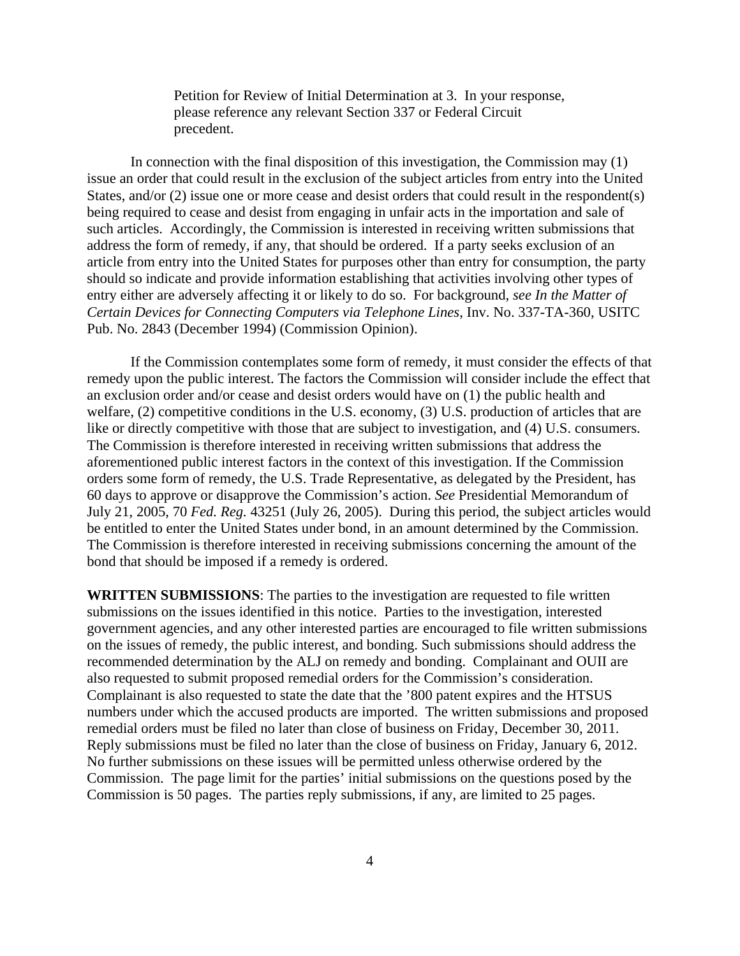Petition for Review of Initial Determination at 3. In your response, please reference any relevant Section 337 or Federal Circuit precedent.

In connection with the final disposition of this investigation, the Commission may (1) issue an order that could result in the exclusion of the subject articles from entry into the United States, and/or (2) issue one or more cease and desist orders that could result in the respondent(s) being required to cease and desist from engaging in unfair acts in the importation and sale of such articles. Accordingly, the Commission is interested in receiving written submissions that address the form of remedy, if any, that should be ordered. If a party seeks exclusion of an article from entry into the United States for purposes other than entry for consumption, the party should so indicate and provide information establishing that activities involving other types of entry either are adversely affecting it or likely to do so. For background, *see In the Matter of Certain Devices for Connecting Computers via Telephone Lines*, Inv. No. 337-TA-360, USITC Pub. No. 2843 (December 1994) (Commission Opinion).

If the Commission contemplates some form of remedy, it must consider the effects of that remedy upon the public interest. The factors the Commission will consider include the effect that an exclusion order and/or cease and desist orders would have on (1) the public health and welfare, (2) competitive conditions in the U.S. economy, (3) U.S. production of articles that are like or directly competitive with those that are subject to investigation, and (4) U.S. consumers. The Commission is therefore interested in receiving written submissions that address the aforementioned public interest factors in the context of this investigation. If the Commission orders some form of remedy, the U.S. Trade Representative, as delegated by the President, has 60 days to approve or disapprove the Commission's action. *See* Presidential Memorandum of July 21, 2005, 70 *Fed. Reg.* 43251 (July 26, 2005). During this period, the subject articles would be entitled to enter the United States under bond, in an amount determined by the Commission. The Commission is therefore interested in receiving submissions concerning the amount of the bond that should be imposed if a remedy is ordered.

**WRITTEN SUBMISSIONS**: The parties to the investigation are requested to file written submissions on the issues identified in this notice. Parties to the investigation, interested government agencies, and any other interested parties are encouraged to file written submissions on the issues of remedy, the public interest, and bonding. Such submissions should address the recommended determination by the ALJ on remedy and bonding. Complainant and OUII are also requested to submit proposed remedial orders for the Commission's consideration. Complainant is also requested to state the date that the '800 patent expires and the HTSUS numbers under which the accused products are imported. The written submissions and proposed remedial orders must be filed no later than close of business on Friday, December 30, 2011. Reply submissions must be filed no later than the close of business on Friday, January 6, 2012. No further submissions on these issues will be permitted unless otherwise ordered by the Commission. The page limit for the parties' initial submissions on the questions posed by the Commission is 50 pages. The parties reply submissions, if any, are limited to 25 pages.